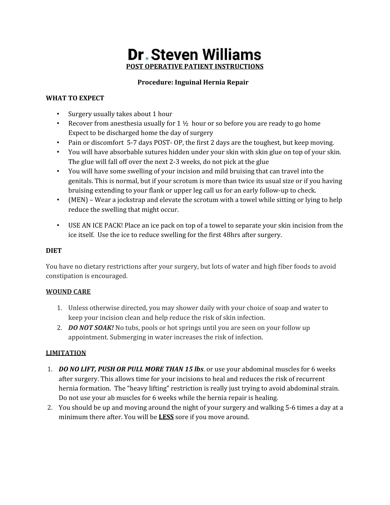# **Dr. Steven Williams POST OPERATIVE PATIENT INSTRUCTIONS**

### **Procedure: Inguinal Hernia Repair**

### **WHAT TO EXPECT**

- Surgery usually takes about 1 hour
- Recover from anesthesia usually for  $1 \frac{1}{2}$  hour or so before you are ready to go home Expect to be discharged home the day of surgery
- Pain or discomfort 5-7 days POST- OP, the first 2 days are the toughest, but keep moving.
- You will have absorbable sutures hidden under your skin with skin glue on top of your skin. The glue will fall off over the next 2-3 weeks, do not pick at the glue
- You will have some swelling of your incision and mild bruising that can travel into the genitals. This is normal, but if your scrotum is more than twice its usual size or if you having bruising extending to your flank or upper leg call us for an early follow-up to check.
- (MEN) Wear a jockstrap and elevate the scrotum with a towel while sitting or lying to help reduce the swelling that might occur.
- USE AN ICE PACK! Place an ice pack on top of a towel to separate your skin incision from the ice itself. Use the ice to reduce swelling for the first 48hrs after surgery.

## **DIET**

You have no dietary restrictions after your surgery, but lots of water and high fiber foods to avoid constipation is encouraged.

### **WOUND CARE**

- 1. Unless otherwise directed, you may shower daily with your choice of soap and water to keep your incision clean and help reduce the risk of skin infection.
- 2. *DO NOT SOAK!* No tubs, pools or hot springs until you are seen on your follow up appointment. Submerging in water increases the risk of infection.

### **LIMITATION**

- 1. *DO NO LIFT, PUSH OR PULL MORE THAN 15 lbs*. or use your abdominal muscles for 6 weeks after surgery. This allows time for your incisions to heal and reduces the risk of recurrent hernia formation. The "heavy lifting" restriction is really just trying to avoid abdominal strain. Do not use your ab muscles for 6 weeks while the hernia repair is healing.
- 2. You should be up and moving around the night of your surgery and walking 5-6 times a day at a minimum there after. You will be **LESS** sore if you move around.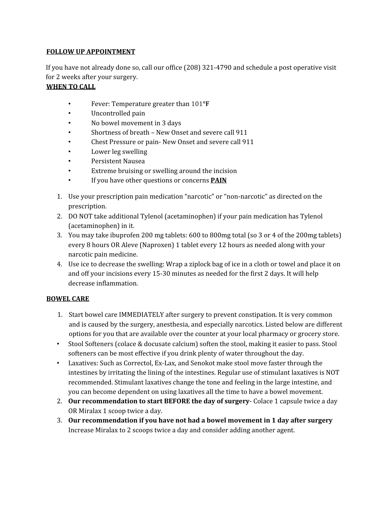#### **FOLLOW UP APPOINTMENT**

If you have not already done so, call our office (208) 321-4790 and schedule a post operative visit for 2 weeks after your surgery.

#### **WHEN TO CALL**

- Fever: Temperature greater than 101**°F**
- Uncontrolled pain
- No bowel movement in 3 days
- Shortness of breath New Onset and severe call 911
- Chest Pressure or pain- New Onset and severe call 911
- Lower leg swelling
- Persistent Nausea
- Extreme bruising or swelling around the incision
- If you have other questions or concerns **PAIN**
- 1. Use your prescription pain medication "narcotic" or "non-narcotic" as directed on the prescription.
- 2. DO NOT take additional Tylenol (acetaminophen) if your pain medication has Tylenol (acetaminophen) in it.
- 3. You may take ibuprofen 200 mg tablets: 600 to 800mg total (so 3 or 4 of the 200mg tablets) every 8 hours OR Aleve (Naproxen) 1 tablet every 12 hours as needed along with your narcotic pain medicine.
- 4. Use ice to decrease the swelling: Wrap a ziplock bag of ice in a cloth or towel and place it on and off your incisions every 15-30 minutes as needed for the first 2 days. It will help decrease inflammation.

### **BOWEL CARE**

- 1. Start bowel care IMMEDIATELY after surgery to prevent constipation. It is very common and is caused by the surgery, anesthesia, and especially narcotics. Listed below are different options for you that are available over the counter at your local pharmacy or grocery store.
- Stool Softeners (colace & docusate calcium) soften the stool, making it easier to pass. Stool softeners can be most effective if you drink plenty of water throughout the day.
- Laxatives: Such as Correctol, Ex-Lax, and Senokot make stool move faster through the intestines by irritating the lining of the intestines. Regular use of stimulant laxatives is NOT recommended. Stimulant laxatives change the tone and feeling in the large intestine, and you can become dependent on using laxatives all the time to have a bowel movement.
- 2. **Our recommendation to start BEFORE the day of surgery** Colace 1 capsule twice a day OR Miralax 1 scoop twice a day.
- 3. **Our recommendation if you have not had a bowel movement in 1 day after surgery** Increase Miralax to 2 scoops twice a day and consider adding another agent.